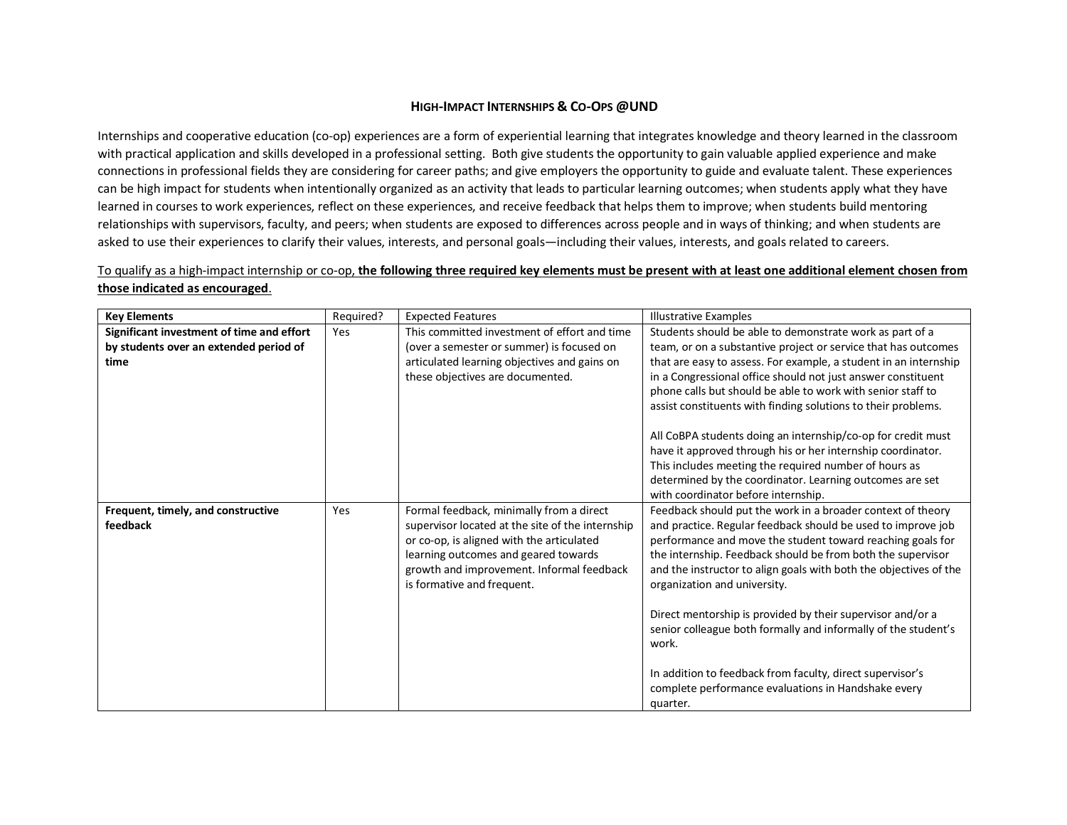## **HIGH-IMPACT INTERNSHIPS & CO-OPS @UND**

Internships and cooperative education (co-op) experiences are a form of experiential learning that integrates knowledge and theory learned in the classroom with practical application and skills developed in a professional setting. Both give students the opportunity to gain valuable applied experience and make connections in professional fields they are considering for career paths; and give employers the opportunity to guide and evaluate talent. These experiences can be high impact for students when intentionally organized as an activity that leads to particular learning outcomes; when students apply what they have learned in courses to work experiences, reflect on these experiences, and receive feedback that helps them to improve; when students build mentoring relationships with supervisors, faculty, and peers; when students are exposed to differences across people and in ways of thinking; and when students are asked to use their experiences to clarify their values, interests, and personal goals—including their values, interests, and goals related to careers.

## To qualify as a high-impact internship or co-op, **the following three required key elements must be present with at least one additional element chosen from those indicated as encouraged**.

| <b>Key Elements</b>                                                                         | Required? | <b>Expected Features</b>                                                                                                                                                                                                                                     | <b>Illustrative Examples</b>                                                                                                                                                                                                                                                                                                                                                                                                                                                                                                                                                                                                           |
|---------------------------------------------------------------------------------------------|-----------|--------------------------------------------------------------------------------------------------------------------------------------------------------------------------------------------------------------------------------------------------------------|----------------------------------------------------------------------------------------------------------------------------------------------------------------------------------------------------------------------------------------------------------------------------------------------------------------------------------------------------------------------------------------------------------------------------------------------------------------------------------------------------------------------------------------------------------------------------------------------------------------------------------------|
| Significant investment of time and effort<br>by students over an extended period of<br>time | Yes       | This committed investment of effort and time<br>(over a semester or summer) is focused on<br>articulated learning objectives and gains on<br>these objectives are documented.                                                                                | Students should be able to demonstrate work as part of a<br>team, or on a substantive project or service that has outcomes<br>that are easy to assess. For example, a student in an internship<br>in a Congressional office should not just answer constituent<br>phone calls but should be able to work with senior staff to<br>assist constituents with finding solutions to their problems.                                                                                                                                                                                                                                         |
|                                                                                             |           |                                                                                                                                                                                                                                                              | All CoBPA students doing an internship/co-op for credit must<br>have it approved through his or her internship coordinator.<br>This includes meeting the required number of hours as<br>determined by the coordinator. Learning outcomes are set<br>with coordinator before internship.                                                                                                                                                                                                                                                                                                                                                |
| Frequent, timely, and constructive<br>feedback                                              | Yes       | Formal feedback, minimally from a direct<br>supervisor located at the site of the internship<br>or co-op, is aligned with the articulated<br>learning outcomes and geared towards<br>growth and improvement. Informal feedback<br>is formative and frequent. | Feedback should put the work in a broader context of theory<br>and practice. Regular feedback should be used to improve job<br>performance and move the student toward reaching goals for<br>the internship. Feedback should be from both the supervisor<br>and the instructor to align goals with both the objectives of the<br>organization and university.<br>Direct mentorship is provided by their supervisor and/or a<br>senior colleague both formally and informally of the student's<br>work.<br>In addition to feedback from faculty, direct supervisor's<br>complete performance evaluations in Handshake every<br>quarter. |